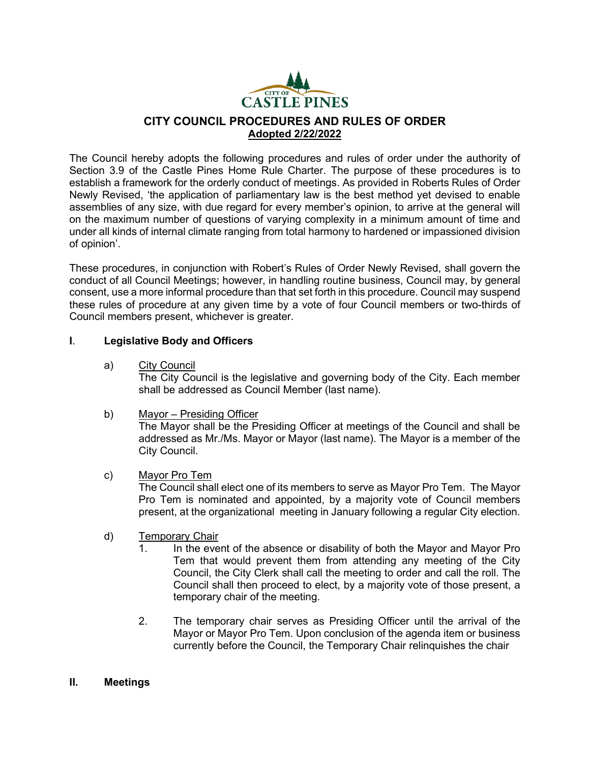

# **CITY COUNCIL PROCEDURES AND RULES OF ORDER Adopted 2/22/2022**

The Council hereby adopts the following procedures and rules of order under the authority of Section 3.9 of the Castle Pines Home Rule Charter. The purpose of these procedures is to establish a framework for the orderly conduct of meetings. As provided in Roberts Rules of Order Newly Revised, 'the application of parliamentary law is the best method yet devised to enable assemblies of any size, with due regard for every member's opinion, to arrive at the general will on the maximum number of questions of varying complexity in a minimum amount of time and under all kinds of internal climate ranging from total harmony to hardened or impassioned division of opinion'.

These procedures, in conjunction with Robert's Rules of Order Newly Revised, shall govern the conduct of all Council Meetings; however, in handling routine business, Council may, by general consent, use a more informal procedure than that set forth in this procedure. Council may suspend these rules of procedure at any given time by a vote of four Council members or two-thirds of Council members present, whichever is greater.

## **I**. **Legislative Body and Officers**

a) City Council

The City Council is the legislative and governing body of the City. Each member shall be addressed as Council Member (last name).

b) Mayor – Presiding Officer

The Mayor shall be the Presiding Officer at meetings of the Council and shall be addressed as Mr./Ms. Mayor or Mayor (last name). The Mayor is a member of the City Council.

c) Mayor Pro Tem

The Council shall elect one of its members to serve as Mayor Pro Tem. The Mayor Pro Tem is nominated and appointed, by a majority vote of Council members present, at the organizational meeting in January following a regular City election.

- d) Temporary Chair
	- 1. In the event of the absence or disability of both the Mayor and Mayor Pro Tem that would prevent them from attending any meeting of the City Council, the City Clerk shall call the meeting to order and call the roll. The Council shall then proceed to elect, by a majority vote of those present, a temporary chair of the meeting.
	- 2. The temporary chair serves as Presiding Officer until the arrival of the Mayor or Mayor Pro Tem. Upon conclusion of the agenda item or business currently before the Council, the Temporary Chair relinquishes the chair
- **II. Meetings**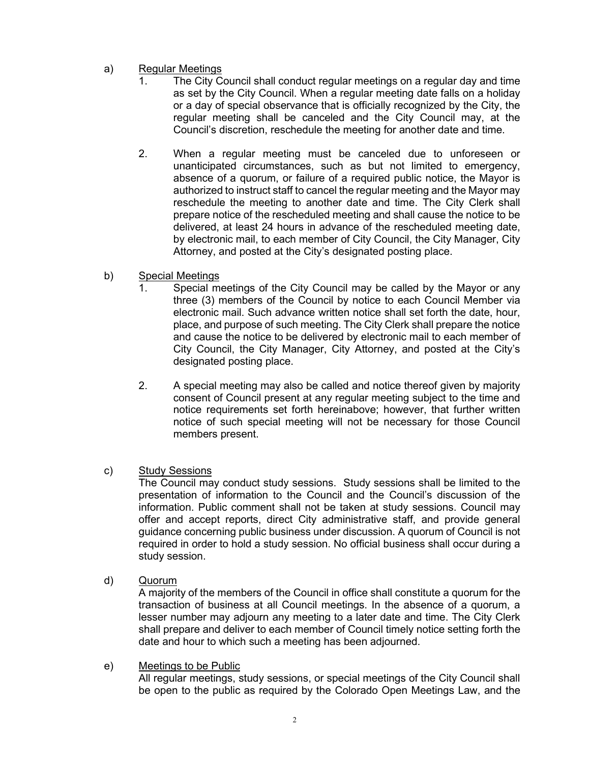#### a) Regular Meetings

- The City Council shall conduct regular meetings on a regular day and time as set by the City Council. When a regular meeting date falls on a holiday or a day of special observance that is officially recognized by the City, the regular meeting shall be canceled and the City Council may, at the Council's discretion, reschedule the meeting for another date and time.
- 2. When a regular meeting must be canceled due to unforeseen or unanticipated circumstances, such as but not limited to emergency, absence of a quorum, or failure of a required public notice, the Mayor is authorized to instruct staff to cancel the regular meeting and the Mayor may reschedule the meeting to another date and time. The City Clerk shall prepare notice of the rescheduled meeting and shall cause the notice to be delivered, at least 24 hours in advance of the rescheduled meeting date, by electronic mail, to each member of City Council, the City Manager, City Attorney, and posted at the City's designated posting place.

#### b) Special Meetings

- 1. Special meetings of the City Council may be called by the Mayor or any three (3) members of the Council by notice to each Council Member via electronic mail. Such advance written notice shall set forth the date, hour, place, and purpose of such meeting. The City Clerk shall prepare the notice and cause the notice to be delivered by electronic mail to each member of City Council, the City Manager, City Attorney, and posted at the City's designated posting place.
- 2. A special meeting may also be called and notice thereof given by majority consent of Council present at any regular meeting subject to the time and notice requirements set forth hereinabove; however, that further written notice of such special meeting will not be necessary for those Council members present.

#### c) Study Sessions

The Council may conduct study sessions. Study sessions shall be limited to the presentation of information to the Council and the Council's discussion of the information. Public comment shall not be taken at study sessions. Council may offer and accept reports, direct City administrative staff, and provide general guidance concerning public business under discussion. A quorum of Council is not required in order to hold a study session. No official business shall occur during a study session.

d) Quorum

A majority of the members of the Council in office shall constitute a quorum for the transaction of business at all Council meetings. In the absence of a quorum, a lesser number may adjourn any meeting to a later date and time. The City Clerk shall prepare and deliver to each member of Council timely notice setting forth the date and hour to which such a meeting has been adjourned.

#### e) Meetings to be Public All regular meetings, study sessions, or special meetings of the City Council shall be open to the public as required by the Colorado Open Meetings Law, and the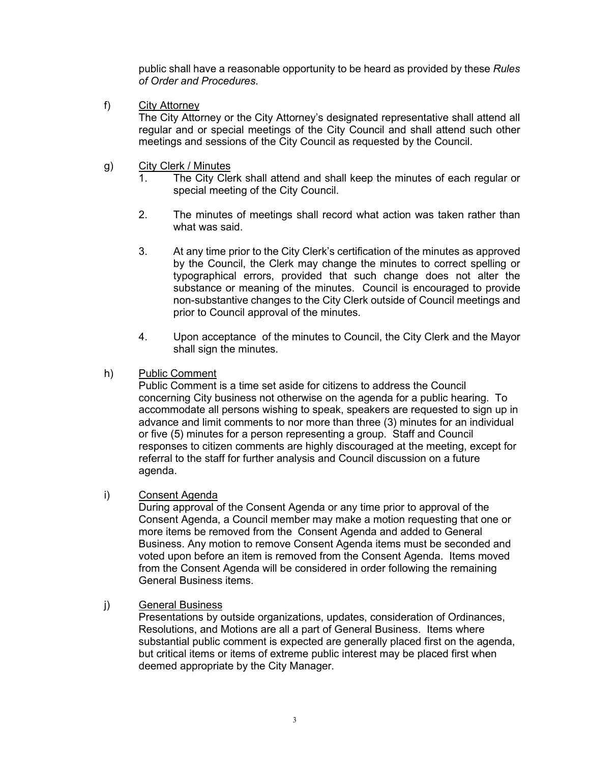public shall have a reasonable opportunity to be heard as provided by these *Rules of Order and Procedures*.

f) City Attorney

The City Attorney or the City Attorney's designated representative shall attend all regular and or special meetings of the City Council and shall attend such other meetings and sessions of the City Council as requested by the Council.

- g) City Clerk / Minutes
	- 1. The City Clerk shall attend and shall keep the minutes of each regular or special meeting of the City Council.
	- 2. The minutes of meetings shall record what action was taken rather than what was said.
	- 3. At any time prior to the City Clerk's certification of the minutes as approved by the Council, the Clerk may change the minutes to correct spelling or typographical errors, provided that such change does not alter the substance or meaning of the minutes. Council is encouraged to provide non-substantive changes to the City Clerk outside of Council meetings and prior to Council approval of the minutes.
	- 4. Upon acceptance of the minutes to Council, the City Clerk and the Mayor shall sign the minutes.
- h) Public Comment

Public Comment is a time set aside for citizens to address the Council concerning City business not otherwise on the agenda for a public hearing. To accommodate all persons wishing to speak, speakers are requested to sign up in advance and limit comments to nor more than three (3) minutes for an individual or five (5) minutes for a person representing a group. Staff and Council responses to citizen comments are highly discouraged at the meeting, except for referral to the staff for further analysis and Council discussion on a future agenda.

i) Consent Agenda

During approval of the Consent Agenda or any time prior to approval of the Consent Agenda, a Council member may make a motion requesting that one or more items be removed from the Consent Agenda and added to General Business. Any motion to remove Consent Agenda items must be seconded and voted upon before an item is removed from the Consent Agenda. Items moved from the Consent Agenda will be considered in order following the remaining General Business items.

j) General Business

Presentations by outside organizations, updates, consideration of Ordinances, Resolutions, and Motions are all a part of General Business. Items where substantial public comment is expected are generally placed first on the agenda, but critical items or items of extreme public interest may be placed first when deemed appropriate by the City Manager.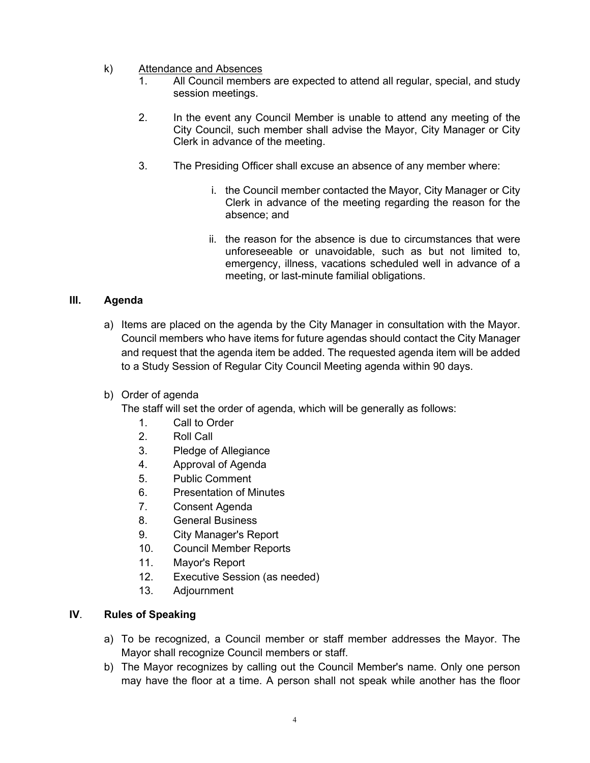#### k) Attendance and Absences

- 1. All Council members are expected to attend all regular, special, and study session meetings.
- 2. In the event any Council Member is unable to attend any meeting of the City Council, such member shall advise the Mayor, City Manager or City Clerk in advance of the meeting.
- 3. The Presiding Officer shall excuse an absence of any member where:
	- i. the Council member contacted the Mayor, City Manager or City Clerk in advance of the meeting regarding the reason for the absence; and
	- ii. the reason for the absence is due to circumstances that were unforeseeable or unavoidable, such as but not limited to, emergency, illness, vacations scheduled well in advance of a meeting, or last-minute familial obligations.

#### **III. Agenda**

- a) Items are placed on the agenda by the City Manager in consultation with the Mayor. Council members who have items for future agendas should contact the City Manager and request that the agenda item be added. The requested agenda item will be added to a Study Session of Regular City Council Meeting agenda within 90 days.
- b) Order of agenda

The staff will set the order of agenda, which will be generally as follows:

- 1. Call to Order
- 2. Roll Call
- 3. Pledge of Allegiance
- 4. Approval of Agenda
- 5. Public Comment
- 6. Presentation of Minutes
- 7. Consent Agenda
- 8. General Business
- 9. City Manager's Report
- 10. Council Member Reports
- 11. Mayor's Report
- 12. Executive Session (as needed)
- 13. Adjournment

#### **IV**. **Rules of Speaking**

- a) To be recognized, a Council member or staff member addresses the Mayor. The Mayor shall recognize Council members or staff.
- b) The Mayor recognizes by calling out the Council Member's name. Only one person may have the floor at a time. A person shall not speak while another has the floor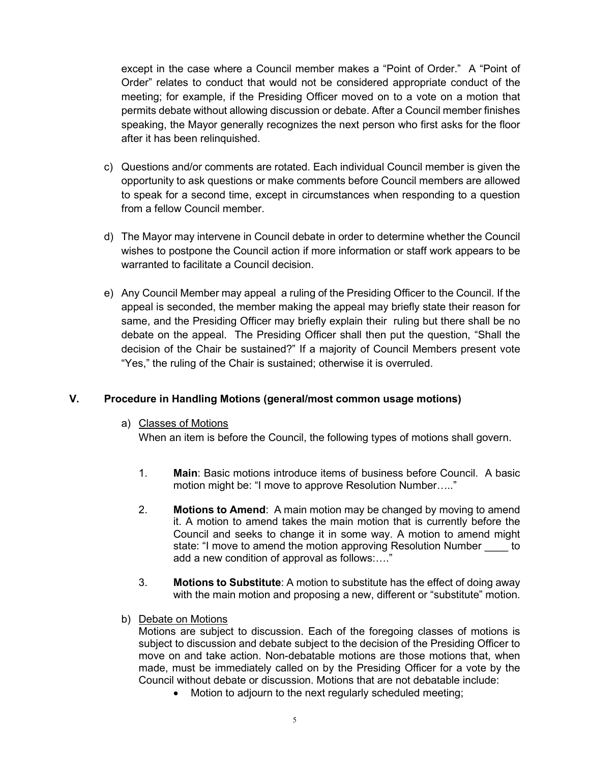except in the case where a Council member makes a "Point of Order." A "Point of Order" relates to conduct that would not be considered appropriate conduct of the meeting; for example, if the Presiding Officer moved on to a vote on a motion that permits debate without allowing discussion or debate. After a Council member finishes speaking, the Mayor generally recognizes the next person who first asks for the floor after it has been relinquished.

- c) Questions and/or comments are rotated. Each individual Council member is given the opportunity to ask questions or make comments before Council members are allowed to speak for a second time, except in circumstances when responding to a question from a fellow Council member.
- d) The Mayor may intervene in Council debate in order to determine whether the Council wishes to postpone the Council action if more information or staff work appears to be warranted to facilitate a Council decision.
- e) Any Council Member may appeal a ruling of the Presiding Officer to the Council. If the appeal is seconded, the member making the appeal may briefly state their reason for same, and the Presiding Officer may briefly explain their ruling but there shall be no debate on the appeal. The Presiding Officer shall then put the question, "Shall the decision of the Chair be sustained?" If a majority of Council Members present vote "Yes," the ruling of the Chair is sustained; otherwise it is overruled.

#### **V. Procedure in Handling Motions (general/most common usage motions)**

a) Classes of Motions

When an item is before the Council, the following types of motions shall govern.

- 1. **Main**: Basic motions introduce items of business before Council. A basic motion might be: "I move to approve Resolution Number….."
- 2. **Motions to Amend**: A main motion may be changed by moving to amend it. A motion to amend takes the main motion that is currently before the Council and seeks to change it in some way. A motion to amend might state: "I move to amend the motion approving Resolution Number to add a new condition of approval as follows:…."
- 3. **Motions to Substitute**: A motion to substitute has the effect of doing away with the main motion and proposing a new, different or "substitute" motion.
- b) Debate on Motions

Motions are subject to discussion. Each of the foregoing classes of motions is subject to discussion and debate subject to the decision of the Presiding Officer to move on and take action. Non-debatable motions are those motions that, when made, must be immediately called on by the Presiding Officer for a vote by the Council without debate or discussion. Motions that are not debatable include:

• Motion to adjourn to the next regularly scheduled meeting;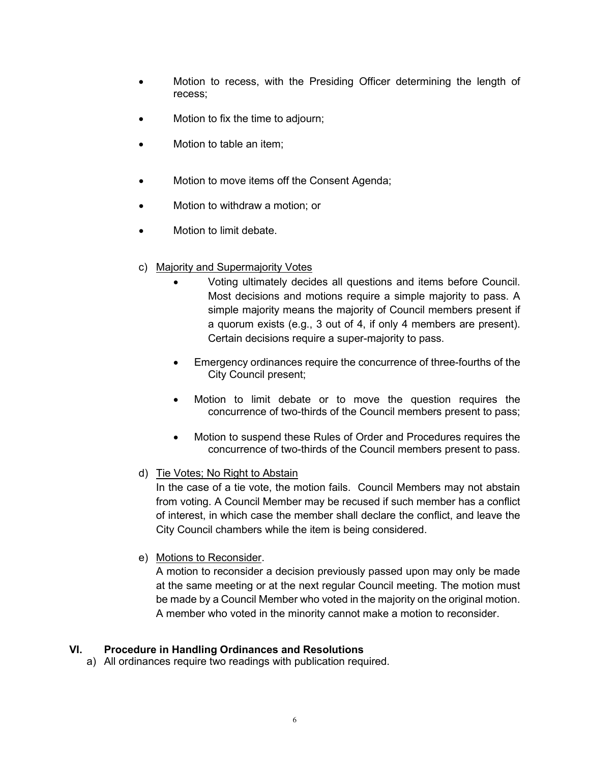- Motion to recess, with the Presiding Officer determining the length of recess;
- Motion to fix the time to adjourn;
- Motion to table an item;
- Motion to move items off the Consent Agenda;
- Motion to withdraw a motion; or
- Motion to limit debate.
- c) Majority and Supermajority Votes
	- Voting ultimately decides all questions and items before Council. Most decisions and motions require a simple majority to pass. A simple majority means the majority of Council members present if a quorum exists (e.g., 3 out of 4, if only 4 members are present). Certain decisions require a super-majority to pass.
	- Emergency ordinances require the concurrence of three-fourths of the City Council present;
	- Motion to limit debate or to move the question requires the concurrence of two-thirds of the Council members present to pass;
	- Motion to suspend these Rules of Order and Procedures requires the concurrence of two-thirds of the Council members present to pass.
- d) Tie Votes; No Right to Abstain

In the case of a tie vote, the motion fails. Council Members may not abstain from voting. A Council Member may be recused if such member has a conflict of interest, in which case the member shall declare the conflict, and leave the City Council chambers while the item is being considered.

e) Motions to Reconsider.

A motion to reconsider a decision previously passed upon may only be made at the same meeting or at the next regular Council meeting. The motion must be made by a Council Member who voted in the majority on the original motion. A member who voted in the minority cannot make a motion to reconsider.

# **VI. Procedure in Handling Ordinances and Resolutions**

a) All ordinances require two readings with publication required.